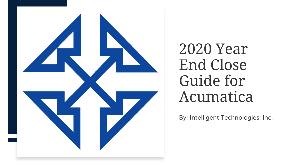

# 2020 Year End Close Guide for Acumatica

By: Intelligent Technologies, Inc.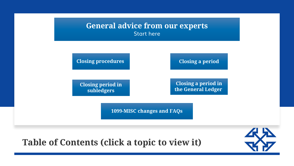

#### **Table of Contents (click a topic to view it)**

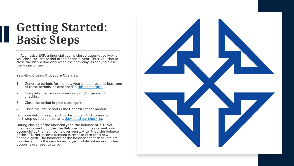# <span id="page-2-0"></span>**Getting Started: Basic Steps**

In Acumatica ERP, a financial year is closed automatically when you close the last period of the financial year. Thus, you should close the last period only when the company is ready to close the financial year.

#### **Year-End Closing Procedure Overview**

- 1. Generate periods for the new year and activate at least one of these periods, as described in [this help article.](https://help-2020r2.acumatica.com/(W(1))/Wiki/ShowWiki.aspx?pageid=324ee873-c28d-41f9-88d2-d6a4359962fe)
- 2. Complete the tasks on your company's "year-end" checklist.
- 3. Close the period in your subledgers.
- 4. Close the last period in the General Ledger module.

For more details, keep reading this guide. And, to mark off each step as you complete it, [download our checklist.](https://www.inteltech.com/acumatica-yearchk/)

During closing of the financial year, the balance of YTD Net Income account updates the Retained Earnings account, which accumulates the net income over years. After that, the balance of the YTD Net Income account is reset to zero for a new financial year. The balances of the balance sheet accounts are transferred into the new financial year, while balances of other accounts are reset to zero.

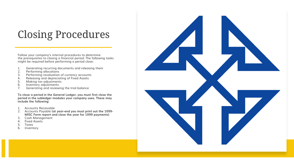# <span id="page-3-0"></span>Closing Procedures

Follow your company's internal procedures to determine the prerequisites to closing a financial period. The following tasks might be required before performing a period close:

- 1. Generating recurring documents and releasing them<br>2. Performing allocations
- 2. Performing allocations<br>3. Performing revaluation
- 3. Performing revaluation of currency accounts<br>4. Releasing and depreciating of Fixed Assets
- 4. Releasing and depreciating of Fixed Assets<br>5. Making tax adjustments
- 5. Making tax adjustments<br>6. Inventory adjustments
- 6. Inventory adjustments<br>7. Generating and review
- 7. Generating and reviewing the trial balance

**To close a period in the General Ledger, you must first close the period in the subledger modules your company uses. These may include the following:**

- 1. Accounts Receivable
- 2. Accounts Payable **(at year-end you must print out the 1099- MISC Form report and close the year for 1099 payments)**
- 3. Cash Management
- 4. Fixed Assets
- 5. Taxes
- 6. Inventory

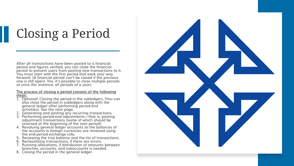# <span id="page-4-0"></span>Closing a Period

After all transactions have been posted to a financial period and figures verified, you can close the financial period to prevent users from posting new transactions to it. You must start with the first period and work your way forward. (A financial period can't be closed if the previous one is still open). Yes, it's possible to close multiple periods at once (for instance, all periods of a year).

#### **The process of closing a period consists of the following steps:**

- *1. Optional:* Closing the period in the subledgers. (You can also close the period in subledgers along with the general ledger after performing period-end activities). See the next page.
- 2. Generating and posting any recurring transactions.
- 3. Performing period-end adjustments—that is, posting adjustment transactions (some of which should be reversed at the beginning of the next period).
- 4. Revaluing general ledger accounts so the balances of the accounts in foreign currencies are revalued using the end-period exchange rate.
- 5. Reviewing the trial balance and the list of transactions.
- 6. Reclassifying transactions, if there are errors.
- 7. Running allocations, if distribution of amounts between branches, accounts, and subaccounts is needed.
- 8. Closing the period in the general ledger.

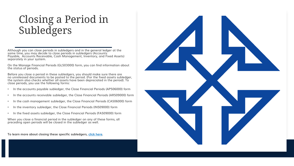## <span id="page-5-0"></span>Closing a Period in Subledgers

Although you can close periods in subledgers and in the general ledger at the same time, you may decide to close periods in subledgers (Accounts Payable, Accounts Receivable, Cash Management, Inventory, and Fixed Assets) separately in your system.

On the Manage Financial Periods (GL503000) form, you can find information about the status of periods.

Before you close a period in these subledgers, you should make sure there are no unreleased documents to be posted to the period. (For the fixed assets subledger, the system also checks whether all assets have been depreciated in the period). To close periods, you use the following forms:

- In the accounts payable subledger, the Close Financial Periods (AP506000) form
- In the accounts receivable subledger, the Close Financial Periods (AR509000) form
- In the cash management subledger, the Close Financial Periods (CA506000) form
- In the inventory subledger, the Close Financial Periods (IN509000) form
- In the fixed assets subledger, the Close Financial Periods (FA509000) form

When you close a financial period in the subledger on any of these forms, all preceding open periods will be closed in the subledger as well.

**To learn more about closing these specific subledgers, [click here](#page-6-0).**

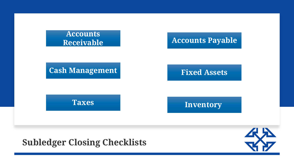<span id="page-6-0"></span>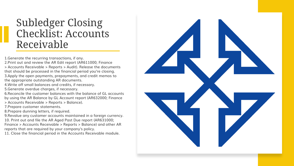#### <span id="page-7-0"></span>Subledger Closing Checklist: Accounts Receivable

1.Generate the recurring transactions, if any.

- 2.Print out and review the AR Edit report (AR611000; Finance > Accounts Receivable > Reports > Audit). Release the documents
- that should be processed in the financial period you're closing. 3.Apply the open payments, prepayments, and credit memos to the appropriate outstanding AR documents.
- 4.Write off small balances and credits, if necessary.
- 5.Generate overdue charges, if necessary.
- 6.Reconcile the customer balances with the balance of GL accounts by using the AR Balance by GL Account report (AR632000; Finance > Accounts Receivable > Reports > Balance).
- 7.Prepare customer statements.
- 8.Prepare dunning letters, if required.
- 9.Revalue any customer accounts maintained in a foreign currency. 10. Print out and file the AR Aged Past Due report (AR631000; Finance > Accounts Receivable > Reports > Balance) and other AR reports that are required by your company's policy.
- 11. Close the financial period in the Accounts Receivable module.

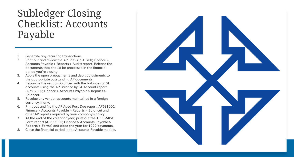### <span id="page-8-0"></span>Subledger Closing Checklist: Accounts Payable

- 1. Generate any recurring transactions.
- 2. Print out and review the AP Edit (AP610700; Finance > Accounts Payable > Reports > Audit) report. Release the documents that should be processed in the financial period you're closing.
- 3. Apply the open prepayments and debit adjustments to the appropriate outstanding AP documents.
- 4. Reconcile the vendor balances with the balances of GL accounts using the AP Balance by GL Account report (AP632000; Finance > Accounts Payable > Reports > Balance).
- 5. Revalue any vendor accounts maintained in a foreign currency, if any.
- 6. Print out and file the AP Aged Past Due report (AP631000; Finance > Accounts Payable > Reports > Balance) and other AP reports required by your company's policy.
- **7. At the end of the calendar year, print out the 1099-MISC Form report (AP653000; Finance > Accounts Payable > Reports > Forms) and close the year for 1099 payments.**
- 8. Close the financial period in the Accounts Payable module.

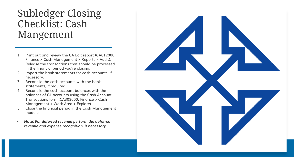#### <span id="page-9-0"></span>Subledger Closing Checklist: Cash Mangement

- 1. Print out and review the CA Edit report (CA612000; Finance > Cash Management > Reports > Audit). Release the transactions that should be processed in the financial period you're closing.
- 2. Import the bank statements for cash accounts, if necessary.
- 3. Reconcile the cash accounts with the bank statements, if required.
- 4. Reconcile the cash account balances with the balances of GL accounts using the Cash Account Transactions form (CA303000; Finance > Cash Management > Work Area > Explore).
- 5. Close the financial period in the Cash Management module.
- *Note: For deferred revenue perform the deferred revenue and expense recognition, if necessary.*

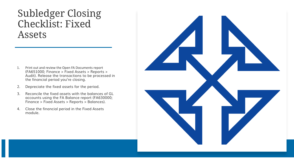#### <span id="page-10-0"></span>Subledger Closing Checklist: Fixed Assets

- 1. Print out and review the Open FA Documents report (FA651000; Finance > Fixed Assets > Reports > Audit). Release the transactions to be processed in the financial period you're closing.
- 2. Depreciate the fixed assets for the period.
- 3. Reconcile the fixed assets with the balances of GL accounts using the FA Balance report (FA630000; Finance > Fixed Assets > Reports > Balances).
- 4. Close the financial period in the Fixed Assets module.

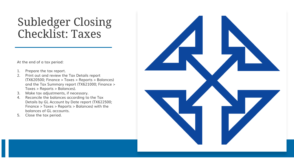# <span id="page-11-0"></span>Subledger Closing Checklist: Taxes

At the end of a tax period:

- 1. Prepare the tax report.
- 2. Print out and review the Tax Details report (TX620500; Finance > Taxes > Reports > Balances) and the Tax Summary report (TX621000; Finance > Taxes > Reports > Balances).
- 3. Make tax adjustments, if necessary.
- 4. Reconcile the balances according to the Tax Details by GL Account by Date report (TX622500; Finance > Taxes > Reports > Balances) with the balances of GL accounts.
- 5. Close the tax period.

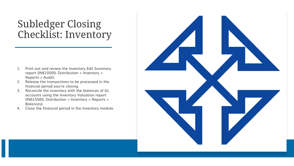### <span id="page-12-0"></span>Subledger Closing Checklist: Inventory

- 1. Print out and review the Inventory Edit Summary report (IN610500; Distribution > Inventory > Reports > Audit).
- 2. Release the transactions to be processed in the financial period you're closing.
- 3. Reconcile the inventory with the balances of GL accounts using the Inventory Valuation report (IN615500; Distribution > Inventory > Reports > Balances).
- 4. Close the financial period in the Inventory module.

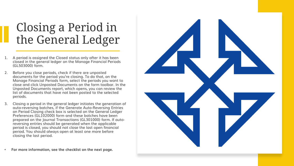# Closing a Period in the General Ledger

- 1. A period is assigned the Closed status only after it has been closed in the general ledger on the Manage Financial Periods (GL503000) form.
- 2. Before you close periods, check if there are unposted documents for the period you're closing. To do that, on the Manage Financial Periods form, select the periods you want to close and click Unposted Documents on the form toolbar. In the Unposted Documents report, which opens, you can review the list of documents that have not been posted to the selected periods.
- 3. Closing a period in the general ledger initiates the generation of auto-reversing batches, if the Generate Auto-Reversing Entries on Period Closing check box is selected on the General Ledger Preferences (GL102000) form and these batches have been prepared on the Journal Transactions (GL301000) form. If autoreversing entries should be generated when the applicable period is closed, you should not close the last open financial period. You should always open at least one more before closing the last period.

• **For more information, see the checklist on the next page.**

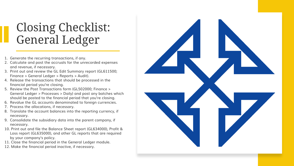# <span id="page-14-0"></span>Closing Checklist: General Ledger

- 1. Generate the recurring transactions, if any.
- 2. Calculate and post the accruals for the unrecorded expenses and revenue, if necessary.
- 3. Print out and review the GL Edit Summary report (GL611500; Finance > General Ledger > Reports > Audit).
- 4. Release the transactions that should be processed in the financial period you're closing.
- 5. Review the Post Transactions form (GL502000; Finance > General Ledger > Processes > Daily) and post any batches which should be posted to the financial period that you're closing.
- 6. Revalue the GL accounts denominated to foreign currencies.
- 7. Process the allocations, if necessary.
- 8. Translate the account balances into the reporting currency, if necessary.
- 9. Consolidate the subsidiary data into the parent company, if necessary.
- 10. Print out and file the Balance Sheet report (GL634000), Profit & Loss report (GL635000), and other GL reports that are required by your company's policy.
- 11. Close the financial period in the General Ledger module.
- 12. Make the financial period inactive, if necessary.